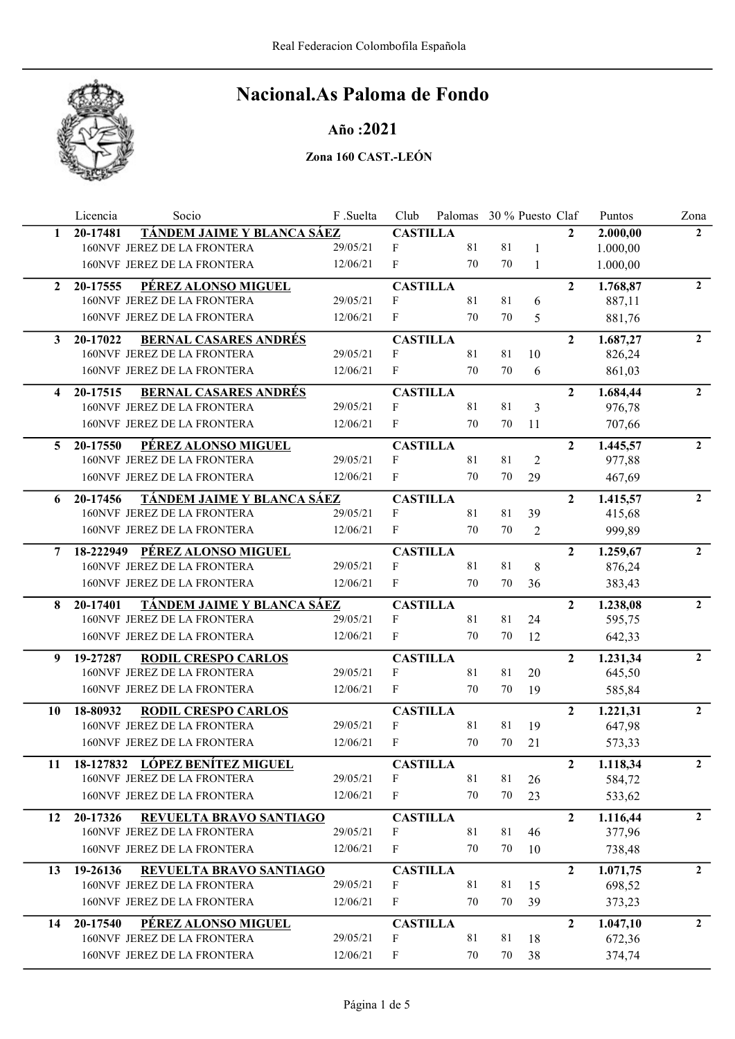

## Año :2021

|              | Licencia | Socio                             | F .Suelta | Club            | Palomas 30 % Puesto Claf |    |                |                | Puntos   | Zona           |
|--------------|----------|-----------------------------------|-----------|-----------------|--------------------------|----|----------------|----------------|----------|----------------|
| 1            | 20-17481 | TÁNDEM JAIME Y BLANCA SÁEZ        |           | <b>CASTILLA</b> |                          |    |                | $\mathbf{2}$   | 2.000,00 | $\mathbf{2}$   |
|              |          | 160NVF JEREZ DE LA FRONTERA       | 29/05/21  | F               | 81                       | 81 | 1              |                | 1.000,00 |                |
|              |          | 160NVF JEREZ DE LA FRONTERA       | 12/06/21  | F               | 70                       | 70 | $\mathbf{1}$   |                | 1.000,00 |                |
| $\mathbf{2}$ | 20-17555 | PÉREZ ALONSO MIGUEL               |           | <b>CASTILLA</b> |                          |    |                | $\overline{2}$ | 1.768,87 | $\overline{2}$ |
|              |          | 160NVF JEREZ DE LA FRONTERA       | 29/05/21  | F               | 81                       | 81 | 6              |                | 887,11   |                |
|              |          | 160NVF JEREZ DE LA FRONTERA       | 12/06/21  | F               | 70                       | 70 | 5              |                | 881,76   |                |
| 3            | 20-17022 | <b>BERNAL CASARES ANDRÉS</b>      |           | <b>CASTILLA</b> |                          |    |                | $\overline{2}$ | 1.687,27 | $\overline{2}$ |
|              |          | 160NVF JEREZ DE LA FRONTERA       | 29/05/21  | F               | 81                       | 81 | 10             |                | 826,24   |                |
|              |          | 160NVF JEREZ DE LA FRONTERA       | 12/06/21  | F               | 70                       | 70 | 6              |                | 861,03   |                |
| 4            | 20-17515 | <b>BERNAL CASARES ANDRÉS</b>      |           | <b>CASTILLA</b> |                          |    |                | $\overline{2}$ | 1.684,44 | $\overline{2}$ |
|              |          | 160NVF JEREZ DE LA FRONTERA       | 29/05/21  | $\mathbf{F}$    | 81                       | 81 | 3              |                | 976,78   |                |
|              |          | 160NVF JEREZ DE LA FRONTERA       | 12/06/21  | F               | 70                       | 70 | 11             |                | 707,66   |                |
| 5            | 20-17550 | PÉREZ ALONSO MIGUEL               |           | <b>CASTILLA</b> |                          |    |                | $\overline{2}$ | 1.445,57 | $\overline{2}$ |
|              |          | 160NVF JEREZ DE LA FRONTERA       | 29/05/21  | F               | 81                       | 81 | $\overline{c}$ |                | 977,88   |                |
|              |          | 160NVF JEREZ DE LA FRONTERA       | 12/06/21  | F               | 70                       | 70 | 29             |                | 467,69   |                |
| 6            | 20-17456 | TÁNDEM JAIME Y BLANCA SÁEZ        |           | <b>CASTILLA</b> |                          |    |                | $\overline{2}$ | 1.415,57 | $\overline{2}$ |
|              |          | 160NVF JEREZ DE LA FRONTERA       | 29/05/21  | F               | 81                       | 81 | 39             |                | 415,68   |                |
|              |          | 160NVF JEREZ DE LA FRONTERA       | 12/06/21  | F               | 70                       | 70 | $\overline{2}$ |                | 999,89   |                |
| 7            |          | 18-222949 PÉREZ ALONSO MIGUEL     |           | <b>CASTILLA</b> |                          |    |                | $\overline{2}$ | 1.259,67 | $\overline{2}$ |
|              |          | 160NVF JEREZ DE LA FRONTERA       | 29/05/21  | F               | 81                       | 81 | 8              |                | 876,24   |                |
|              |          | 160NVF JEREZ DE LA FRONTERA       | 12/06/21  | F               | 70                       | 70 | 36             |                | 383,43   |                |
| 8            | 20-17401 | <u>TÁNDEM JAIME Y BLANCA SÁEZ</u> |           | <b>CASTILLA</b> |                          |    |                | $\overline{2}$ | 1.238,08 | $\mathbf{2}$   |
|              |          | 160NVF JEREZ DE LA FRONTERA       | 29/05/21  | F               | 81                       | 81 | 24             |                | 595,75   |                |
|              |          | 160NVF JEREZ DE LA FRONTERA       | 12/06/21  | F               | 70                       | 70 | 12             |                | 642,33   |                |
| 9            | 19-27287 | <b>RODIL CRESPO CARLOS</b>        |           | <b>CASTILLA</b> |                          |    |                | $\overline{2}$ | 1.231,34 | $\overline{2}$ |
|              |          | 160NVF JEREZ DE LA FRONTERA       | 29/05/21  | F               | 81                       | 81 | 20             |                | 645,50   |                |
|              |          | 160NVF JEREZ DE LA FRONTERA       | 12/06/21  | F               | 70                       | 70 | 19             |                | 585,84   |                |
| 10           | 18-80932 | <b>RODIL CRESPO CARLOS</b>        |           | <b>CASTILLA</b> |                          |    |                | $\overline{2}$ | 1.221,31 | $\overline{2}$ |
|              |          | 160NVF JEREZ DE LA FRONTERA       | 29/05/21  | F               | 81                       | 81 | 19             |                | 647,98   |                |
|              |          | 160NVF JEREZ DE LA FRONTERA       | 12/06/21  | F               | 70                       | 70 | 21             |                | 573,33   |                |
| 11           |          | 18-127832 LÓPEZ BENÍTEZ MIGUEL    |           | <b>CASTILLA</b> |                          |    |                | $\mathbf{2}$   | 1.118,34 | 2              |
|              |          | 160NVF JEREZ DE LA FRONTERA       | 29/05/21  | F               | 81                       | 81 | 26             |                | 584,72   |                |
|              |          | 160NVF JEREZ DE LA FRONTERA       | 12/06/21  | F               | 70                       | 70 | 23             |                | 533,62   |                |
| 12           | 20-17326 | REVUELTA BRAVO SANTIAGO           |           | <b>CASTILLA</b> |                          |    |                | $\overline{2}$ | 1.116,44 | $\overline{2}$ |
|              |          | 160NVF JEREZ DE LA FRONTERA       | 29/05/21  | F               | 81                       | 81 | 46             |                | 377,96   |                |
|              |          | 160NVF JEREZ DE LA FRONTERA       | 12/06/21  | F               | 70                       | 70 | 10             |                | 738,48   |                |
| 13           | 19-26136 | REVUELTA BRAVO SANTIAGO           |           | <b>CASTILLA</b> |                          |    |                | $\overline{2}$ | 1.071,75 | $\overline{2}$ |
|              |          | 160NVF JEREZ DE LA FRONTERA       | 29/05/21  | F               | 81                       | 81 | 15             |                | 698,52   |                |
|              |          | 160NVF JEREZ DE LA FRONTERA       | 12/06/21  | F               | 70                       | 70 | 39             |                | 373,23   |                |
| 14           | 20-17540 | PÉREZ ALONSO MIGUEL               |           | <b>CASTILLA</b> |                          |    |                | $\overline{2}$ | 1.047,10 | $\overline{2}$ |
|              |          | 160NVF JEREZ DE LA FRONTERA       | 29/05/21  | F               | 81                       | 81 | 18             |                | 672,36   |                |
|              |          | 160NVF JEREZ DE LA FRONTERA       | 12/06/21  | F               | 70                       | 70 | 38             |                | 374,74   |                |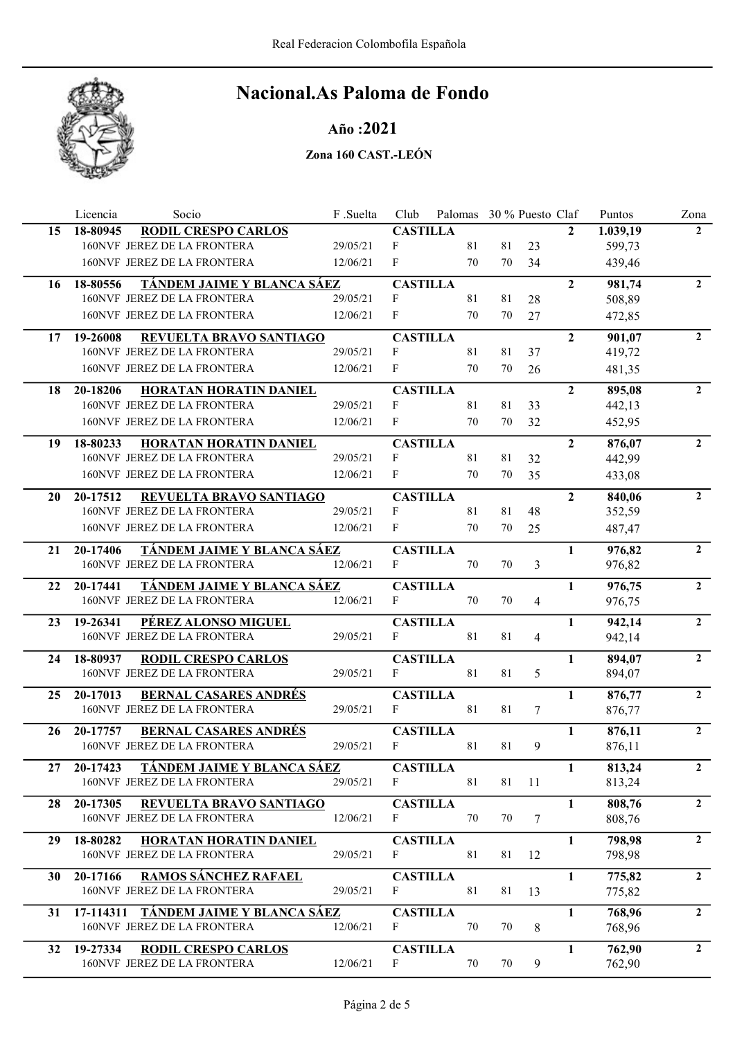

## Año :2021

|    | Licencia<br>Socio                                                       | F.Suelta | Club                 | Palomas 30 % Puesto Claf |    |                |                | Puntos           | Zona           |
|----|-------------------------------------------------------------------------|----------|----------------------|--------------------------|----|----------------|----------------|------------------|----------------|
| 15 | <b>RODIL CRESPO CARLOS</b><br>18-80945                                  |          | <b>CASTILLA</b>      |                          |    |                | $\overline{2}$ | 1.039,19         | $\overline{2}$ |
|    | 160NVF JEREZ DE LA FRONTERA                                             | 29/05/21 | F                    | 81                       | 81 | 23             |                | 599,73           |                |
|    | 160NVF JEREZ DE LA FRONTERA                                             | 12/06/21 | F                    | 70                       | 70 | 34             |                | 439,46           |                |
| 16 | TÁNDEM JAIME Y BLANCA SÁEZ<br>18-80556                                  |          | <b>CASTILLA</b>      |                          |    |                | $\overline{2}$ | 981,74           | $\overline{2}$ |
|    | 160NVF JEREZ DE LA FRONTERA                                             | 29/05/21 | F                    | 81                       | 81 | 28             |                | 508,89           |                |
|    | 160NVF JEREZ DE LA FRONTERA                                             | 12/06/21 | F                    | 70                       | 70 | 27             |                | 472,85           |                |
| 17 | REVUELTA BRAVO SANTIAGO<br>19-26008                                     |          | <b>CASTILLA</b>      |                          |    |                | $\overline{2}$ | 901,07           | $\overline{2}$ |
|    | 160NVF JEREZ DE LA FRONTERA                                             | 29/05/21 | F                    | 81                       | 81 | 37             |                | 419,72           |                |
|    | 160NVF JEREZ DE LA FRONTERA                                             | 12/06/21 | F                    | 70                       | 70 | 26             |                | 481,35           |                |
| 18 | 20-18206<br>HORATAN HORATIN DANIEL                                      |          | <b>CASTILLA</b>      |                          |    |                | $\overline{2}$ | 895,08           | $\overline{2}$ |
|    | 160NVF JEREZ DE LA FRONTERA                                             | 29/05/21 | F                    | 81                       | 81 | 33             |                | 442,13           |                |
|    | 160NVF JEREZ DE LA FRONTERA                                             | 12/06/21 | F                    | 70                       | 70 | 32             |                | 452,95           |                |
| 19 | 18-80233<br>HORATAN HORATIN DANIEL                                      |          | <b>CASTILLA</b>      |                          |    |                | $\overline{2}$ | 876,07           | $\overline{2}$ |
|    | 160NVF JEREZ DE LA FRONTERA                                             | 29/05/21 | F                    | 81                       | 81 | 32             |                | 442,99           |                |
|    | 160NVF JEREZ DE LA FRONTERA                                             | 12/06/21 | F                    | 70                       | 70 | 35             |                | 433,08           |                |
| 20 | 20-17512<br>REVUELTA BRAVO SANTIAGO                                     |          | <b>CASTILLA</b>      |                          |    |                | $\overline{2}$ | 840,06           | $\overline{2}$ |
|    | 160NVF JEREZ DE LA FRONTERA                                             | 29/05/21 | F                    | 81                       | 81 | 48             |                | 352,59           |                |
|    | 160NVF JEREZ DE LA FRONTERA                                             | 12/06/21 | F                    | 70                       | 70 | 25             |                | 487,47           |                |
| 21 | <u>TÁNDEM JAIME Y BLANCA SÁEZ</u><br>20-17406                           |          | <b>CASTILLA</b>      |                          |    |                | $\mathbf{1}$   | 976,82           | $\overline{2}$ |
|    | 160NVF JEREZ DE LA FRONTERA                                             | 12/06/21 | F                    | 70                       | 70 | 3              |                | 976,82           |                |
| 22 | TÁNDEM JAIME Y BLANCA SÁEZ<br>20-17441                                  |          | <b>CASTILLA</b>      |                          |    |                | 1              | 976,75           | $\overline{2}$ |
|    | 160NVF JEREZ DE LA FRONTERA                                             | 12/06/21 | F                    | 70                       | 70 | $\overline{4}$ |                | 976,75           |                |
| 23 | PÉREZ ALONSO MIGUEL<br>19-26341                                         |          | <b>CASTILLA</b>      |                          |    |                | 1              | 942,14           | $\overline{2}$ |
|    | 160NVF JEREZ DE LA FRONTERA                                             | 29/05/21 | F                    | 81                       | 81 | $\overline{4}$ |                | 942,14           |                |
| 24 | 18-80937<br><b>RODIL CRESPO CARLOS</b>                                  |          | <b>CASTILLA</b>      |                          |    |                | 1              | 894,07           | $\overline{2}$ |
|    | 160NVF JEREZ DE LA FRONTERA                                             | 29/05/21 | F                    | 81                       | 81 | 5              |                | 894,07           |                |
|    |                                                                         |          |                      |                          |    |                |                |                  | $\overline{2}$ |
| 25 | 20-17013<br><b>BERNAL CASARES ANDRÉS</b><br>160NVF JEREZ DE LA FRONTERA | 29/05/21 | <b>CASTILLA</b><br>F | 81                       | 81 | 7              | 1              | 876,77<br>876,77 |                |
|    |                                                                         |          |                      |                          |    |                |                |                  |                |
| 26 | <b>BERNAL CASARES ANDRÉS</b><br>20-17757                                |          | <b>CASTILLA</b>      |                          |    |                | $\mathbf{1}$   | 876,11           | $\overline{2}$ |
|    | 160NVF JEREZ DE LA FRONTERA                                             | 29/05/21 | F                    | 81                       | 81 | 9              |                | 876,11           |                |
| 27 | TÁNDEM JAIME Y BLANCA SÁEZ<br>20-17423                                  |          | <b>CASTILLA</b>      |                          |    |                | 1              | 813,24           | 2              |
|    | 160NVF JEREZ DE LA FRONTERA                                             | 29/05/21 | F                    | 81                       | 81 | <sup>11</sup>  |                | 813,24           |                |
| 28 | REVUELTA BRAVO SANTIAGO<br>20-17305                                     |          | <b>CASTILLA</b>      |                          |    |                | 1              | 808,76           | $\overline{2}$ |
|    | 160NVF JEREZ DE LA FRONTERA                                             | 12/06/21 | F                    | 70                       | 70 | 7              |                | 808,76           |                |
| 29 | 18-80282<br><b>HORATAN HORATIN DANIEL</b>                               |          | <b>CASTILLA</b>      |                          |    |                | $\mathbf{1}$   | 798,98           | $\overline{2}$ |
|    | 160NVF JEREZ DE LA FRONTERA                                             | 29/05/21 | F                    | 81                       | 81 | 12             |                | 798,98           |                |
| 30 | <b>RAMOS SÁNCHEZ RAFAEL</b><br>20-17166                                 |          | <b>CASTILLA</b>      |                          |    |                | $\mathbf{1}$   | 775,82           | $\overline{2}$ |
|    | 160NVF JEREZ DE LA FRONTERA                                             | 29/05/21 | F                    | 81                       | 81 | 13             |                | 775,82           |                |
| 31 | 17-114311 TÁNDEM JAIME Y BLANCA SÁEZ                                    |          | <b>CASTILLA</b>      |                          |    |                | $\mathbf{1}$   | 768,96           | $2^{\circ}$    |
|    | 160NVF JEREZ DE LA FRONTERA                                             | 12/06/21 | F                    | 70                       | 70 | $\,8\,$        |                | 768,96           |                |
|    |                                                                         |          |                      |                          |    |                |                |                  |                |
| 32 | 19-27334<br><b>RODIL CRESPO CARLOS</b>                                  |          | <b>CASTILLA</b>      |                          |    |                | 1              | 762,90           | $\overline{2}$ |
|    | 160NVF JEREZ DE LA FRONTERA                                             | 12/06/21 | F                    | $70\,$                   | 70 | 9              |                | 762,90           |                |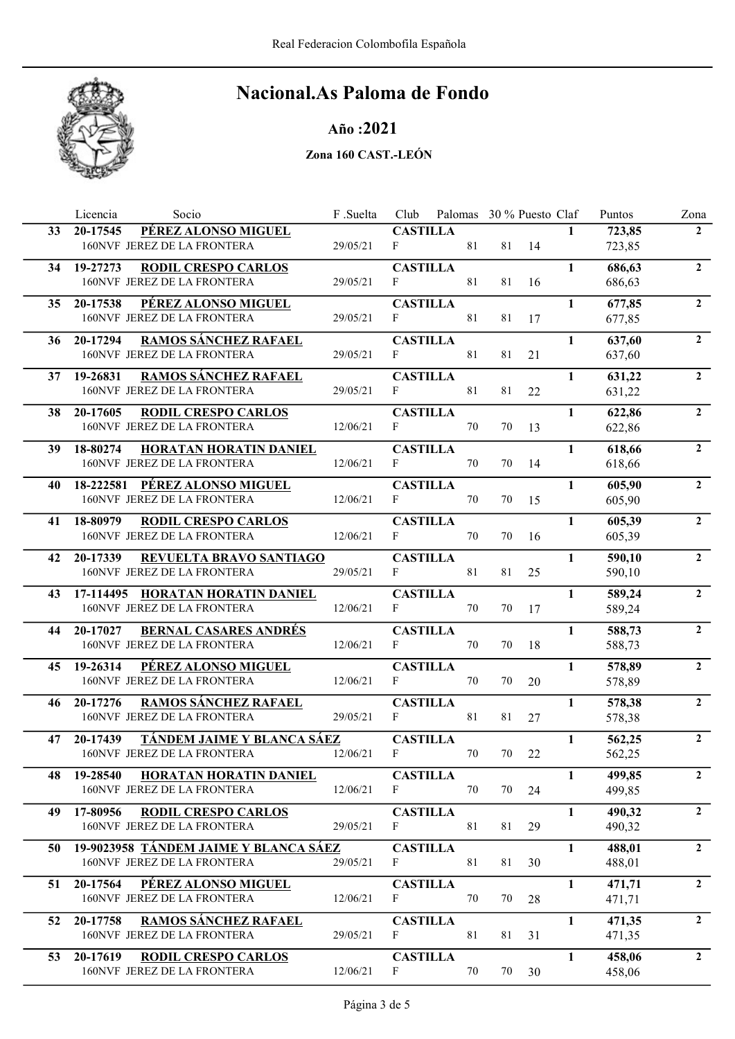

Año :2021

|    | Socio<br>Licencia                                                      | F .Suelta | Club                 | Palomas 30 % Puesto Claf |    |    |              | Puntos           | Zona           |
|----|------------------------------------------------------------------------|-----------|----------------------|--------------------------|----|----|--------------|------------------|----------------|
| 33 | PÉREZ ALONSO MIGUEL<br>20-17545                                        |           | <b>CASTILLA</b>      |                          |    |    | $\mathbf{1}$ | 723,85           | $2^{\circ}$    |
|    | 160NVF JEREZ DE LA FRONTERA                                            | 29/05/21  | F                    | 81                       | 81 | 14 |              | 723,85           |                |
| 34 | 19-27273<br><b>RODIL CRESPO CARLOS</b>                                 |           | <b>CASTILLA</b>      |                          |    |    | 1            | 686,63           | $\overline{2}$ |
|    | 160NVF JEREZ DE LA FRONTERA                                            | 29/05/21  | F                    | 81                       | 81 | 16 |              | 686,63           |                |
| 35 | 20-17538<br>PÉREZ ALONSO MIGUEL                                        |           | <b>CASTILLA</b>      |                          |    |    | $\mathbf{1}$ | 677,85           | $\overline{2}$ |
|    | 160NVF JEREZ DE LA FRONTERA                                            | 29/05/21  | F                    | 81                       | 81 | 17 |              | 677,85           |                |
| 36 | <b>RAMOS SÁNCHEZ RAFAEL</b><br>20-17294                                |           | <b>CASTILLA</b>      |                          |    |    | $\mathbf{1}$ | 637,60           | $\overline{2}$ |
|    | 160NVF JEREZ DE LA FRONTERA                                            | 29/05/21  | F                    | 81                       | 81 | 21 |              | 637,60           |                |
|    |                                                                        |           |                      |                          |    |    |              |                  |                |
| 37 | 19-26831<br><b>RAMOS SÁNCHEZ RAFAEL</b><br>160NVF JEREZ DE LA FRONTERA | 29/05/21  | <b>CASTILLA</b><br>F | 81                       | 81 | 22 | $\mathbf{1}$ | 631,22<br>631,22 | $\overline{2}$ |
|    |                                                                        |           |                      |                          |    |    |              |                  |                |
| 38 | 20-17605<br><b>RODIL CRESPO CARLOS</b>                                 |           | <b>CASTILLA</b>      |                          |    |    | $\mathbf{1}$ | 622,86           | $\mathbf{2}$   |
|    | 160NVF JEREZ DE LA FRONTERA                                            | 12/06/21  | F                    | 70                       | 70 | 13 |              | 622,86           |                |
| 39 | 18-80274<br>HORATAN HORATIN DANIEL                                     |           | <b>CASTILLA</b>      |                          |    |    | $\mathbf{1}$ | 618,66           | $\overline{2}$ |
|    | 160NVF JEREZ DE LA FRONTERA                                            | 12/06/21  | $\mathbf{F}$         | 70                       | 70 | 14 |              | 618,66           |                |
| 40 | PÉREZ ALONSO MIGUEL<br>18-222581                                       |           | <b>CASTILLA</b>      |                          |    |    | $\mathbf{1}$ | 605,90           | $\overline{2}$ |
|    | 160NVF JEREZ DE LA FRONTERA                                            | 12/06/21  | F                    | 70                       | 70 | 15 |              | 605,90           |                |
| 41 | 18-80979<br><b>RODIL CRESPO CARLOS</b>                                 |           | <b>CASTILLA</b>      |                          |    |    | $\mathbf{1}$ | 605,39           | $\overline{2}$ |
|    | 160NVF JEREZ DE LA FRONTERA                                            | 12/06/21  | F                    | 70                       | 70 | 16 |              | 605,39           |                |
| 42 | REVUELTA BRAVO SANTIAGO<br>20-17339                                    |           | <b>CASTILLA</b>      |                          |    |    | $\mathbf{1}$ | 590,10           | $2^{\circ}$    |
|    | 160NVF JEREZ DE LA FRONTERA                                            | 29/05/21  | $\mathbf{F}$         | 81                       | 81 | 25 |              | 590,10           |                |
|    |                                                                        |           |                      |                          |    |    |              |                  | $\overline{2}$ |
| 43 | 17-114495 HORATAN HORATIN DANIEL<br>160NVF JEREZ DE LA FRONTERA        | 12/06/21  | <b>CASTILLA</b><br>F | 70                       | 70 | 17 | $\mathbf{1}$ | 589,24<br>589,24 |                |
|    |                                                                        |           |                      |                          |    |    |              |                  |                |
| 44 | <b>BERNAL CASARES ANDRÉS</b><br>20-17027                               |           | <b>CASTILLA</b>      |                          |    |    | $\mathbf{1}$ | 588,73           | $\overline{2}$ |
|    | 160NVF JEREZ DE LA FRONTERA                                            | 12/06/21  | F                    | 70                       | 70 | 18 |              | 588,73           |                |
| 45 | PÉREZ ALONSO MIGUEL<br>19-26314                                        |           | <b>CASTILLA</b>      |                          |    |    | $\mathbf{1}$ | 578,89           | $\overline{2}$ |
|    | 160NVF JEREZ DE LA FRONTERA                                            | 12/06/21  | $\mathbf{F}$         | 70                       | 70 | 20 |              | 578,89           |                |
| 46 | <b>RAMOS SÁNCHEZ RAFAEL</b><br>20-17276                                |           | <b>CASTILLA</b>      |                          |    |    | 1            | 578,38           | $\overline{2}$ |
|    | 160NVF JEREZ DE LA FRONTERA                                            | 29/05/21  | F                    | 81                       | 81 | 27 |              | 578,38           |                |
| 47 | 20-17439<br>TÁNDEM JAIME Y BLANCA SÁEZ                                 |           | <b>CASTILLA</b>      |                          |    |    | $\mathbf{1}$ | 562,25           | $\overline{2}$ |
|    | 160NVF JEREZ DE LA FRONTERA                                            | 12/06/21  | $\mathbf F$          | 70                       | 70 | 22 |              | 562,25           |                |
| 48 | HORATAN HORATIN DANIEL<br>19-28540                                     |           | <b>CASTILLA</b>      |                          |    |    | $\mathbf{1}$ | 499,85           | $\overline{2}$ |
|    | 160NVF JEREZ DE LA FRONTERA                                            | 12/06/21  | $\mathbf F$          | 70                       | 70 | 24 |              | 499,85           |                |
| 49 | <b>RODIL CRESPO CARLOS</b><br>17-80956                                 |           | <b>CASTILLA</b>      |                          |    |    | $\mathbf{1}$ | 490,32           | $\overline{2}$ |
|    | 160NVF JEREZ DE LA FRONTERA                                            | 29/05/21  | F                    | 81                       | 81 | 29 |              | 490,32           |                |
|    |                                                                        |           |                      |                          |    |    |              |                  | $\overline{2}$ |
| 50 | 19-9023958 TÁNDEM JAIME Y BLANCA SÁEZ<br>160NVF JEREZ DE LA FRONTERA   | 29/05/21  | <b>CASTILLA</b><br>F | 81                       | 81 | 30 | $\mathbf{1}$ | 488,01           |                |
|    |                                                                        |           |                      |                          |    |    |              | 488,01           |                |
| 51 | PÉREZ ALONSO MIGUEL<br>20-17564                                        |           | <b>CASTILLA</b>      |                          |    |    | $\mathbf{1}$ | 471,71           | $\overline{2}$ |
|    | 160NVF JEREZ DE LA FRONTERA                                            | 12/06/21  | F                    | 70                       | 70 | 28 |              | 471,71           |                |
| 52 | RAMOS SÁNCHEZ RAFAEL<br>20-17758                                       |           | <b>CASTILLA</b>      |                          |    |    | 1            | 471,35           | $2^{\circ}$    |
|    | 160NVF JEREZ DE LA FRONTERA                                            | 29/05/21  | F                    | 81                       | 81 | 31 |              | 471,35           |                |
| 53 | 20-17619<br><b>RODIL CRESPO CARLOS</b>                                 |           | <b>CASTILLA</b>      |                          |    |    | $\mathbf{1}$ | 458,06           | $\overline{2}$ |
|    | 160NVF JEREZ DE LA FRONTERA                                            | 12/06/21  | F                    | 70                       | 70 | 30 |              | 458,06           |                |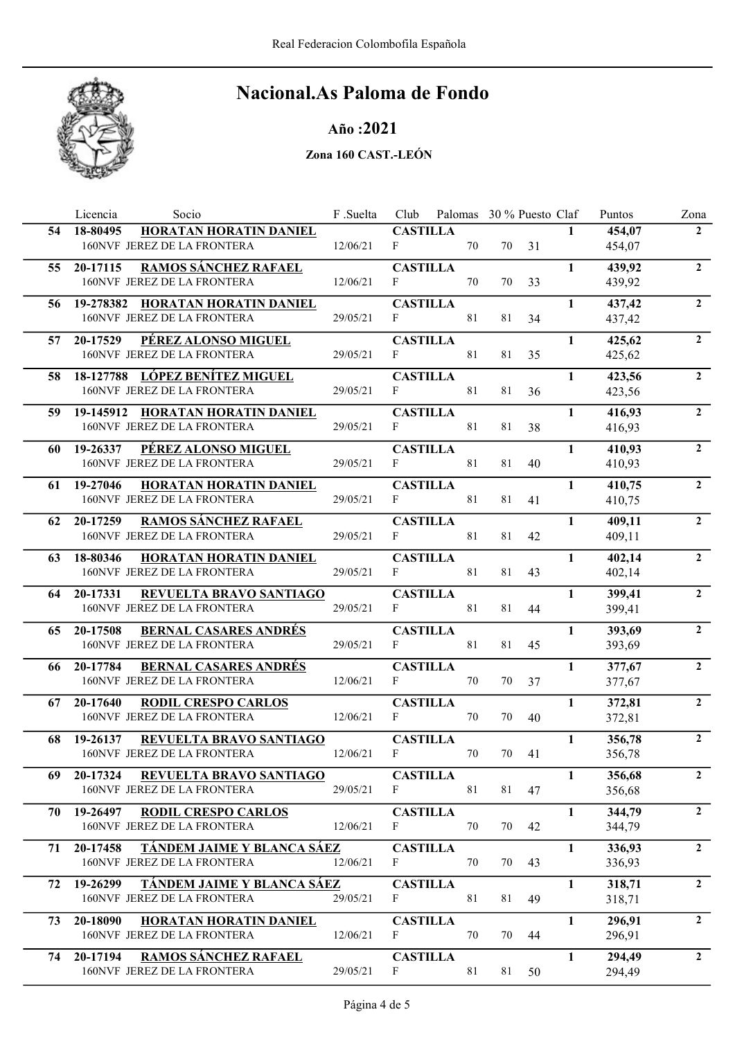

## Año :2021

|    | Socio<br>Licencia                                                            | F.Suelta | Club                                | Palomas 30 % Puesto Claf |        |    |              | Puntos           | Zona           |
|----|------------------------------------------------------------------------------|----------|-------------------------------------|--------------------------|--------|----|--------------|------------------|----------------|
| 54 | HORATAN HORATIN DANIEL<br>18-80495<br>160NVF JEREZ DE LA FRONTERA            | 12/06/21 | <b>CASTILLA</b><br>F                | 70                       | 70     | 31 | $\mathbf{1}$ | 454,07<br>454,07 | $\mathbf{2}$   |
| 55 | <b>RAMOS SÁNCHEZ RAFAEL</b><br>20-17115<br>160NVF JEREZ DE LA FRONTERA       | 12/06/21 | <b>CASTILLA</b><br>F                | 70                       | 70     | 33 | $\mathbf{1}$ | 439,92<br>439,92 | $\overline{2}$ |
| 56 | 19-278382 HORATAN HORATIN DANIEL<br>160NVF JEREZ DE LA FRONTERA              | 29/05/21 | <b>CASTILLA</b><br>F                | 81                       | 81     | 34 | $\mathbf{1}$ | 437,42<br>437,42 | $\overline{2}$ |
| 57 | PÉREZ ALONSO MIGUEL<br>20-17529<br>160NVF JEREZ DE LA FRONTERA               | 29/05/21 | <b>CASTILLA</b><br>F                | 81                       | 81     | 35 | $\mathbf{1}$ | 425,62<br>425,62 | $\overline{2}$ |
| 58 | 18-127788 LÓPEZ BENÍTEZ MIGUEL<br>160NVF JEREZ DE LA FRONTERA                | 29/05/21 | <b>CASTILLA</b><br>$\mathbf{F}$     | 81                       | 81     | 36 | $\mathbf{1}$ | 423,56<br>423,56 | $\overline{2}$ |
| 59 | 19-145912 HORATAN HORATIN DANIEL<br>160NVF JEREZ DE LA FRONTERA              | 29/05/21 | <b>CASTILLA</b><br>F                | 81                       | 81     | 38 | $\mathbf{1}$ | 416,93<br>416,93 | $\overline{2}$ |
| 60 | PÉREZ ALONSO MIGUEL<br>19-26337<br>160NVF JEREZ DE LA FRONTERA               | 29/05/21 | <b>CASTILLA</b><br>F                | 81                       | 81     | 40 | $\mathbf{1}$ | 410,93<br>410,93 | $\overline{2}$ |
| 61 | 19-27046<br>HORATAN HORATIN DANIEL<br>160NVF JEREZ DE LA FRONTERA            | 29/05/21 | <b>CASTILLA</b><br>$\mathbf F$      | 81                       | 81     | 41 | $\mathbf{1}$ | 410,75<br>410,75 | $\overline{2}$ |
| 62 | <b>RAMOS SÁNCHEZ RAFAEL</b><br>20-17259<br>160NVF JEREZ DE LA FRONTERA       | 29/05/21 | <b>CASTILLA</b><br>F                | 81                       | 81     | 42 | $\mathbf{1}$ | 409,11<br>409,11 | $\overline{2}$ |
| 63 | 18-80346<br>HORATAN HORATIN DANIEL<br>160NVF JEREZ DE LA FRONTERA            | 29/05/21 | <b>CASTILLA</b><br>F                | 81                       | 81     | 43 | 1            | 402,14<br>402,14 | $\overline{2}$ |
| 64 | 20-17331<br>REVUELTA BRAVO SANTIAGO<br>160NVF JEREZ DE LA FRONTERA           | 29/05/21 | <b>CASTILLA</b><br>F                | 81                       | 81     | 44 | 1            | 399,41<br>399,41 | $\overline{2}$ |
| 65 | 20-17508<br><b>BERNAL CASARES ANDRÉS</b><br>160NVF JEREZ DE LA FRONTERA      | 29/05/21 | <b>CASTILLA</b><br>F                | 81                       | 81     | 45 | $\mathbf{1}$ | 393,69<br>393,69 | $\overline{2}$ |
| 66 | 20-17784<br><b>BERNAL CASARES ANDRÉS</b><br>160NVF JEREZ DE LA FRONTERA      | 12/06/21 | <b>CASTILLA</b><br>$\mathbf{F}$     | 70                       | 70     | 37 | 1            | 377,67<br>377,67 | $\overline{2}$ |
| 67 | 20-17640<br><b>RODIL CRESPO CARLOS</b><br>160NVF JEREZ DE LA FRONTERA        | 12/06/21 | <b>CASTILLA</b><br>F                | 70                       | 70     | 40 | 1            | 372,81<br>372,81 | $\overline{2}$ |
| 68 | REVUELTA BRAVO SANTIAGO<br>19-26137<br>160NVF JEREZ DE LA FRONTERA           | 12/06/21 | <b>CASTILLA</b><br>$\mathbf{F}$     | 70                       | $70\,$ | 41 | $\mathbf{1}$ | 356,78<br>356,78 | $\overline{2}$ |
| 69 | REVUELTA BRAVO SANTIAGO<br>20-17324<br>160NVF JEREZ DE LA FRONTERA           | 29/05/21 | <b>CASTILLA</b><br>$\mathbf{F}$     | 81                       | 81     | 47 | $\mathbf{1}$ | 356,68<br>356,68 | $\overline{2}$ |
| 70 | 19-26497<br><b>RODIL CRESPO CARLOS</b><br>160NVF JEREZ DE LA FRONTERA        | 12/06/21 | <b>CASTILLA</b><br>F                | 70                       | 70     | 42 | $\mathbf{1}$ | 344,79<br>344,79 | $\overline{2}$ |
| 71 | TÁNDEM JAIME Y BLANCA SÁEZ<br>20-17458<br>160NVF JEREZ DE LA FRONTERA        | 12/06/21 | <b>CASTILLA</b><br>$\boldsymbol{F}$ | 70                       | 70     | 43 | $\mathbf{1}$ | 336,93<br>336,93 | $\overline{2}$ |
| 72 | <u>TÁNDEM JAIME Y BLANCA SÁEZ</u><br>19-26299<br>160NVF JEREZ DE LA FRONTERA | 29/05/21 | <b>CASTILLA</b><br>F                | 81                       | 81     | 49 | $\mathbf{1}$ | 318,71<br>318,71 | $\overline{2}$ |
| 73 | 20-18090<br>HORATAN HORATIN DANIEL<br>160NVF JEREZ DE LA FRONTERA            | 12/06/21 | <b>CASTILLA</b><br>F                | 70                       | 70     | 44 | $\mathbf{1}$ | 296,91<br>296,91 | $2^{\circ}$    |
| 74 | <b>RAMOS SÁNCHEZ RAFAEL</b><br>20-17194<br>160NVF JEREZ DE LA FRONTERA       | 29/05/21 | <b>CASTILLA</b><br>$\mathbf{F}$     | 81                       | 81     | 50 | $\mathbf{1}$ | 294,49<br>294,49 | $\overline{2}$ |